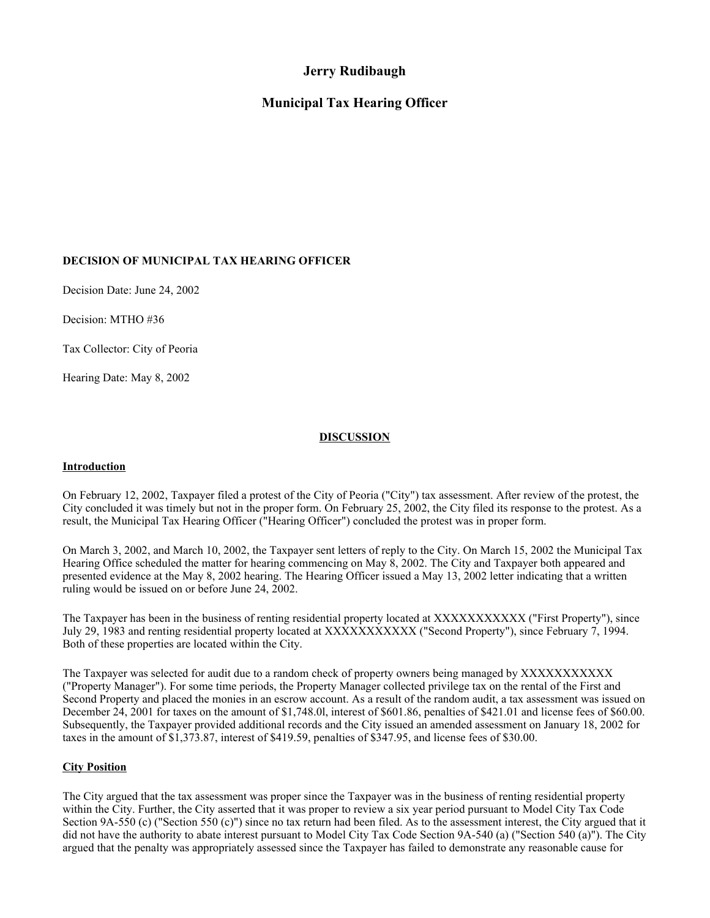# **Jerry Rudibaugh**

# **Municipal Tax Hearing Officer**

# **DECISION OF MUNICIPAL TAX HEARING OFFICER**

Decision Date: June 24, 2002

Decision: MTHO #36

Tax Collector: City of Peoria

Hearing Date: May 8, 2002

# **DISCUSSION**

## **Introduction**

On February 12, 2002, Taxpayer filed a protest of the City of Peoria ("City") tax assessment. After review of the protest, the City concluded it was timely but not in the proper form. On February 25, 2002, the City filed its response to the protest. As a result, the Municipal Tax Hearing Officer ("Hearing Officer") concluded the protest was in proper form.

On March 3, 2002, and March 10, 2002, the Taxpayer sent letters of reply to the City. On March 15, 2002 the Municipal Tax Hearing Office scheduled the matter for hearing commencing on May 8, 2002. The City and Taxpayer both appeared and presented evidence at the May 8, 2002 hearing. The Hearing Officer issued a May 13, 2002 letter indicating that a written ruling would be issued on or before June 24, 2002.

The Taxpayer has been in the business of renting residential property located at XXXXXXXXXXX ("First Property"), since July 29, 1983 and renting residential property located at XXXXXXXXXXX ("Second Property"), since February 7, 1994. Both of these properties are located within the City.

The Taxpayer was selected for audit due to a random check of property owners being managed by XXXXXXXXXXX ("Property Manager"). For some time periods, the Property Manager collected privilege tax on the rental of the First and Second Property and placed the monies in an escrow account. As a result of the random audit, a tax assessment was issued on December 24, 2001 for taxes on the amount of \$1,748.0l, interest of \$601.86, penalties of \$421.01 and license fees of \$60.00. Subsequently, the Taxpayer provided additional records and the City issued an amended assessment on January 18, 2002 for taxes in the amount of \$1,373.87, interest of \$419.59, penalties of \$347.95, and license fees of \$30.00.

# **City Position**

The City argued that the tax assessment was proper since the Taxpayer was in the business of renting residential property within the City. Further, the City asserted that it was proper to review a six year period pursuant to Model City Tax Code Section 9A-550 (c) ("Section 550 (c)") since no tax return had been filed. As to the assessment interest, the City argued that it did not have the authority to abate interest pursuant to Model City Tax Code Section 9A-540 (a) ("Section 540 (a)"). The City argued that the penalty was appropriately assessed since the Taxpayer has failed to demonstrate any reasonable cause for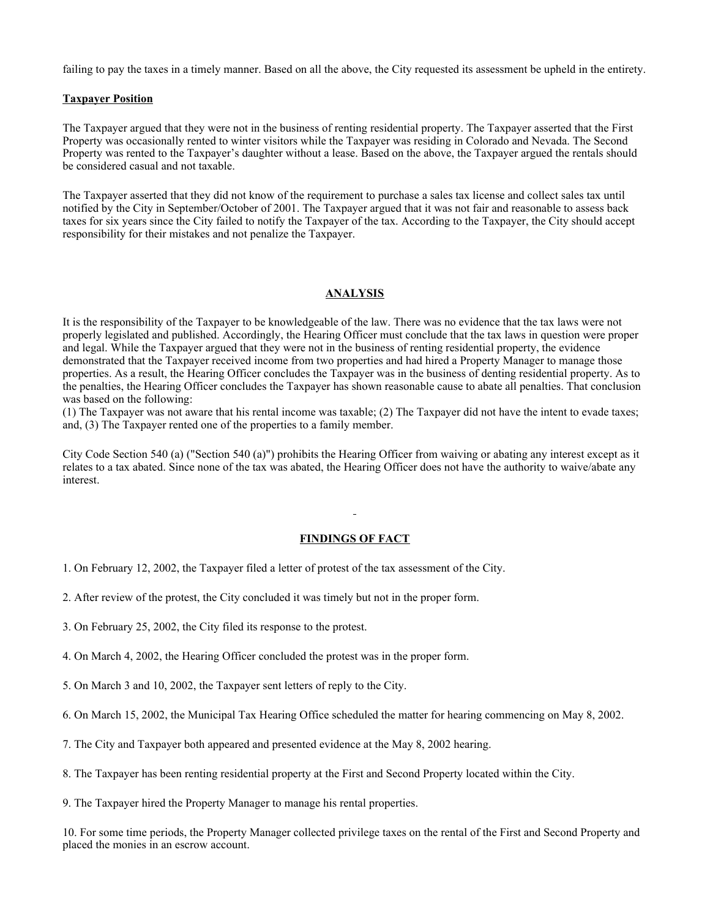failing to pay the taxes in a timely manner. Based on all the above, the City requested its assessment be upheld in the entirety.

#### **Taxpayer Position**

The Taxpayer argued that they were not in the business of renting residential property. The Taxpayer asserted that the First Property was occasionally rented to winter visitors while the Taxpayer was residing in Colorado and Nevada. The Second Property was rented to the Taxpayer's daughter without a lease. Based on the above, the Taxpayer argued the rentals should be considered casual and not taxable.

The Taxpayer asserted that they did not know of the requirement to purchase a sales tax license and collect sales tax until notified by the City in September/October of 2001. The Taxpayer argued that it was not fair and reasonable to assess back taxes for six years since the City failed to notify the Taxpayer of the tax. According to the Taxpayer, the City should accept responsibility for their mistakes and not penalize the Taxpayer.

## **ANALYSIS**

It is the responsibility of the Taxpayer to be knowledgeable of the law. There was no evidence that the tax laws were not properly legislated and published. Accordingly, the Hearing Officer must conclude that the tax laws in question were proper and legal. While the Taxpayer argued that they were not in the business of renting residential property, the evidence demonstrated that the Taxpayer received income from two properties and had hired a Property Manager to manage those properties. As a result, the Hearing Officer concludes the Taxpayer was in the business of denting residential property. As to the penalties, the Hearing Officer concludes the Taxpayer has shown reasonable cause to abate all penalties. That conclusion was based on the following:

(1) The Taxpayer was not aware that his rental income was taxable; (2) The Taxpayer did not have the intent to evade taxes; and, (3) The Taxpayer rented one of the properties to a family member.

City Code Section 540 (a) ("Section 540 (a)") prohibits the Hearing Officer from waiving or abating any interest except as it relates to a tax abated. Since none of the tax was abated, the Hearing Officer does not have the authority to waive/abate any interest.

#### **FINDINGS OF FACT**

- 1. On February 12, 2002, the Taxpayer filed a letter of protest of the tax assessment of the City.
- 2. After review of the protest, the City concluded it was timely but not in the proper form.
- 3. On February 25, 2002, the City filed its response to the protest.
- 4. On March 4, 2002, the Hearing Officer concluded the protest was in the proper form.
- 5. On March 3 and 10, 2002, the Taxpayer sent letters of reply to the City.
- 6. On March 15, 2002, the Municipal Tax Hearing Office scheduled the matter for hearing commencing on May 8, 2002.
- 7. The City and Taxpayer both appeared and presented evidence at the May 8, 2002 hearing.
- 8. The Taxpayer has been renting residential property at the First and Second Property located within the City.

9. The Taxpayer hired the Property Manager to manage his rental properties.

10. For some time periods, the Property Manager collected privilege taxes on the rental of the First and Second Property and placed the monies in an escrow account.